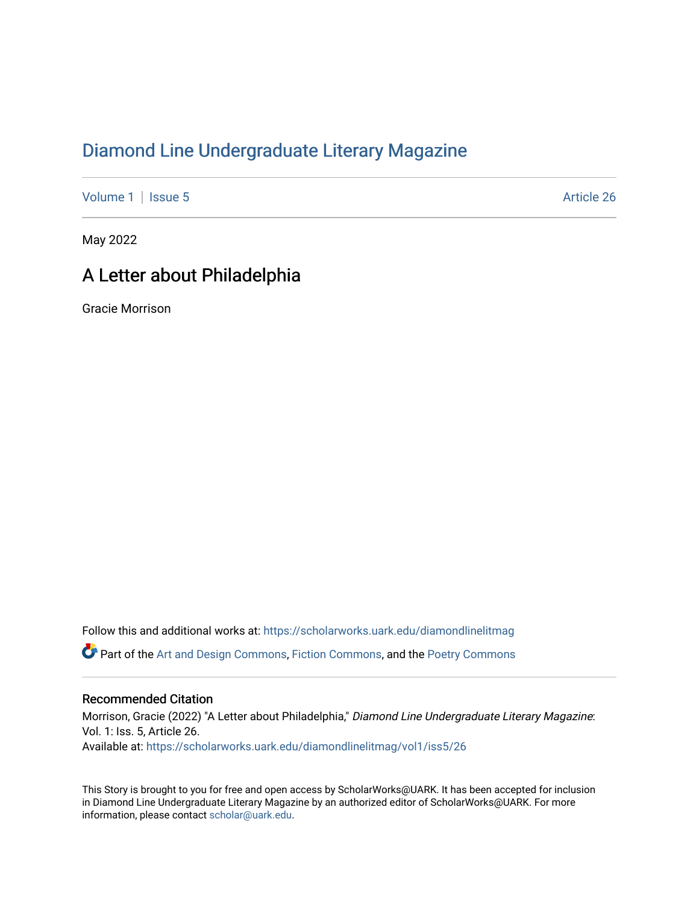## [Diamond Line Undergraduate Literary Magazine](https://scholarworks.uark.edu/diamondlinelitmag)

[Volume 1](https://scholarworks.uark.edu/diamondlinelitmag/vol1) | [Issue 5](https://scholarworks.uark.edu/diamondlinelitmag/vol1/iss5) Article 26

May 2022

## A Letter about Philadelphia

Gracie Morrison

Follow this and additional works at: [https://scholarworks.uark.edu/diamondlinelitmag](https://scholarworks.uark.edu/diamondlinelitmag?utm_source=scholarworks.uark.edu%2Fdiamondlinelitmag%2Fvol1%2Fiss5%2F26&utm_medium=PDF&utm_campaign=PDFCoverPages)  Part of the [Art and Design Commons](http://network.bepress.com/hgg/discipline/1049?utm_source=scholarworks.uark.edu%2Fdiamondlinelitmag%2Fvol1%2Fiss5%2F26&utm_medium=PDF&utm_campaign=PDFCoverPages), [Fiction Commons](http://network.bepress.com/hgg/discipline/1151?utm_source=scholarworks.uark.edu%2Fdiamondlinelitmag%2Fvol1%2Fiss5%2F26&utm_medium=PDF&utm_campaign=PDFCoverPages), and the [Poetry Commons](http://network.bepress.com/hgg/discipline/1153?utm_source=scholarworks.uark.edu%2Fdiamondlinelitmag%2Fvol1%2Fiss5%2F26&utm_medium=PDF&utm_campaign=PDFCoverPages) 

## Recommended Citation

Morrison, Gracie (2022) "A Letter about Philadelphia," Diamond Line Undergraduate Literary Magazine: Vol. 1: Iss. 5, Article 26. Available at: [https://scholarworks.uark.edu/diamondlinelitmag/vol1/iss5/26](https://scholarworks.uark.edu/diamondlinelitmag/vol1/iss5/26?utm_source=scholarworks.uark.edu%2Fdiamondlinelitmag%2Fvol1%2Fiss5%2F26&utm_medium=PDF&utm_campaign=PDFCoverPages) 

This Story is brought to you for free and open access by ScholarWorks@UARK. It has been accepted for inclusion in Diamond Line Undergraduate Literary Magazine by an authorized editor of ScholarWorks@UARK. For more information, please contact [scholar@uark.edu.](mailto:scholar@uark.edu)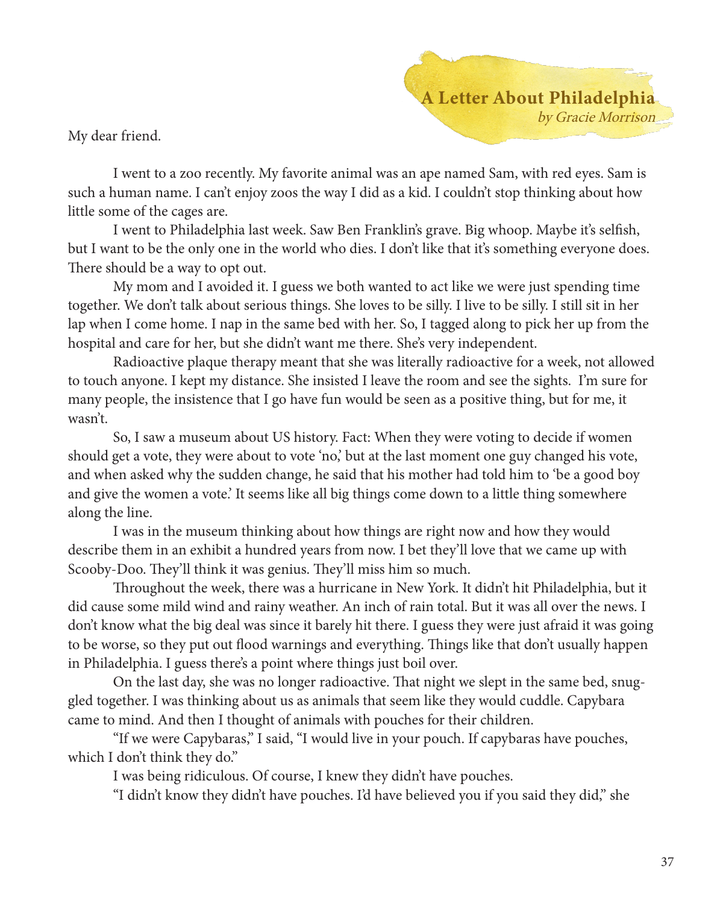My dear friend.

A Letter About Philadelphia by Gracie Morrison

I went to a zoo recently. My favorite animal was an ape named Sam, with red eyes. Sam is such a human name. I can't enjoy zoos the way I did as a kid. I couldn't stop thinking about how little some of the cages are.

I went to Philadelphia last week. Saw Ben Franklin's grave. Big whoop. Maybe it's selfish, but I want to be the only one in the world who dies. I don't like that it's something everyone does. There should be a way to opt out.

My mom and I avoided it. I guess we both wanted to act like we were just spending time together. We don't talk about serious things. She loves to be silly. I live to be silly. I still sit in her lap when I come home. I nap in the same bed with her. So, I tagged along to pick her up from the hospital and care for her, but she didn't want me there. She's very independent.

Radioactive plaque therapy meant that she was literally radioactive for a week, not allowed to touch anyone. I kept my distance. She insisted I leave the room and see the sights. I'm sure for many people, the insistence that I go have fun would be seen as a positive thing, but for me, it wasn't.

So, I saw a museum about US history. Fact: When they were voting to decide if women should get a vote, they were about to vote 'no,' but at the last moment one guy changed his vote, and when asked why the sudden change, he said that his mother had told him to 'be a good boy and give the women a vote.' It seems like all big things come down to a little thing somewhere along the line.

I was in the museum thinking about how things are right now and how they would describe them in an exhibit a hundred years from now. I bet they'll love that we came up with Scooby-Doo. They'll think it was genius. They'll miss him so much.

Throughout the week, there was a hurricane in New York. It didn't hit Philadelphia, but it did cause some mild wind and rainy weather. An inch of rain total. But it was all over the news. I don't know what the big deal was since it barely hit there. I guess they were just afraid it was going to be worse, so they put out flood warnings and everything. Things like that don't usually happen in Philadelphia. I guess there's a point where things just boil over.

On the last day, she was no longer radioactive. That night we slept in the same bed, snuggled together. I was thinking about us as animals that seem like they would cuddle. Capybara came to mind. And then I thought of animals with pouches for their children.

"If we were Capybaras," I said, "I would live in your pouch. If capybaras have pouches, which I don't think they do."

I was being ridiculous. Of course, I knew they didn't have pouches.

"I didn't know they didn't have pouches. I'd have believed you if you said they did," she